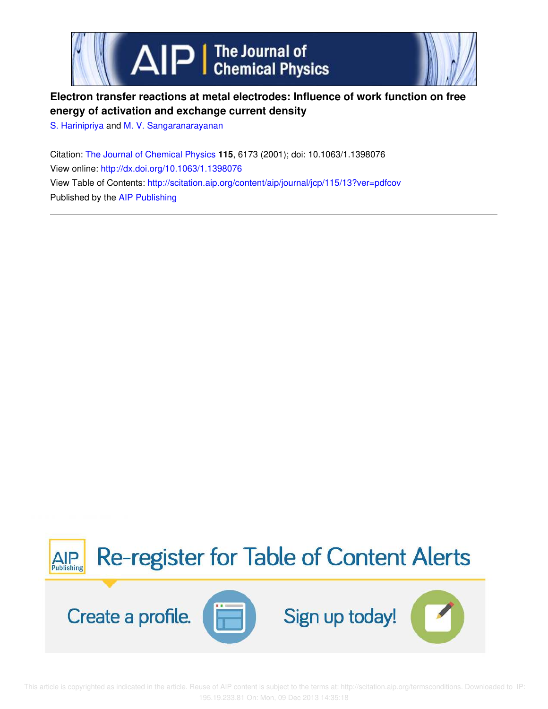

# **Electron transfer reactions at metal electrodes: Influence of work function on free energy of activation and exchange current density**

S. Harinipriya and M. V. Sangaranarayanan

Citation: The Journal of Chemical Physics **115**, 6173 (2001); doi: 10.1063/1.1398076 View online: http://dx.doi.org/10.1063/1.1398076 View Table of Contents: http://scitation.aip.org/content/aip/journal/jcp/115/13?ver=pdfcov Published by the AIP Publishing



 This article is copyrighted as indicated in the article. Reuse of AIP content is subject to the terms at: http://scitation.aip.org/termsconditions. Downloaded to IP: 195.19.233.81 On: Mon, 09 Dec 2013 14:35:18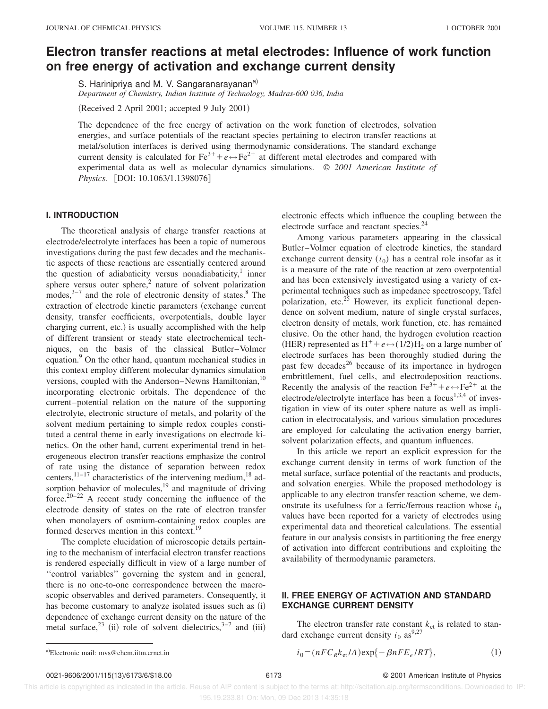## **Electron transfer reactions at metal electrodes: Influence of work function on free energy of activation and exchange current density**

S. Harinipriya and M. V. Sangaranarayanan<sup>a)</sup>

*Department of Chemistry, Indian Institute of Technology, Madras-600 036, India*

(Received 2 April 2001; accepted 9 July 2001)

The dependence of the free energy of activation on the work function of electrodes, solvation energies, and surface potentials of the reactant species pertaining to electron transfer reactions at metal/solution interfaces is derived using thermodynamic considerations. The standard exchange current density is calculated for  $Fe^{3+} + e \leftrightarrow Fe^{2+}$  at different metal electrodes and compared with experimental data as well as molecular dynamics simulations. © *2001 American Institute of Physics.* [DOI: 10.1063/1.1398076]

#### **I. INTRODUCTION**

The theoretical analysis of charge transfer reactions at electrode/electrolyte interfaces has been a topic of numerous investigations during the past few decades and the mechanistic aspects of these reactions are essentially centered around the question of adiabaticity versus nonadiabaticity,<sup>1</sup> inner sphere versus outer sphere, $2$  nature of solvent polarization modes, $3-7$  and the role of electronic density of states.<sup>8</sup> The extraction of electrode kinetic parameters (exchange current density, transfer coefficients, overpotentials, double layer charging current, etc.) is usually accomplished with the help of different transient or steady state electrochemical techniques, on the basis of the classical Butler–Volmer equation.<sup>9</sup> On the other hand, quantum mechanical studies in this context employ different molecular dynamics simulation versions, coupled with the Anderson–Newns Hamiltonian,<sup>10</sup> incorporating electronic orbitals. The dependence of the current–potential relation on the nature of the supporting electrolyte, electronic structure of metals, and polarity of the solvent medium pertaining to simple redox couples constituted a central theme in early investigations on electrode kinetics. On the other hand, current experimental trend in heterogeneous electron transfer reactions emphasize the control of rate using the distance of separation between redox centers, $11-17$  characteristics of the intervening medium,  $18$  adsorption behavior of molecules,<sup>19</sup> and magnitude of driving force.<sup>20–22</sup> A recent study concerning the influence of the electrode density of states on the rate of electron transfer when monolayers of osmium-containing redox couples are formed deserves mention in this context.<sup>19</sup>

The complete elucidation of microscopic details pertaining to the mechanism of interfacial electron transfer reactions is rendered especially difficult in view of a large number of ''control variables'' governing the system and in general, there is no one-to-one correspondence between the macroscopic observables and derived parameters. Consequently, it has become customary to analyze isolated issues such as  $(i)$ dependence of exchange current density on the nature of the metal surface,<sup>23</sup> (ii) role of solvent dielectrics,<sup>3–7</sup> and (iii)

electronic effects which influence the coupling between the electrode surface and reactant species.<sup>24</sup>

Among various parameters appearing in the classical Butler–Volmer equation of electrode kinetics, the standard exchange current density  $(i_0)$  has a central role insofar as it is a measure of the rate of the reaction at zero overpotential and has been extensively investigated using a variety of experimental techniques such as impedance spectroscopy, Tafel polarization, etc.<sup>25</sup> However, its explicit functional dependence on solvent medium, nature of single crystal surfaces, electron density of metals, work function, etc. has remained elusive. On the other hand, the hydrogen evolution reaction (HER) represented as  $H^+ + e \leftrightarrow (1/2)H_2$  on a large number of electrode surfaces has been thoroughly studied during the past few decades<sup>26</sup> because of its importance in hydrogen embrittlement, fuel cells, and electrodeposition reactions. Recently the analysis of the reaction  $Fe^{3+} + e \leftrightarrow Fe^{2+}$  at the electrode/electrolyte interface has been a focus<sup>1,3,4</sup> of investigation in view of its outer sphere nature as well as implication in electrocatalysis, and various simulation procedures are employed for calculating the activation energy barrier, solvent polarization effects, and quantum influences.

In this article we report an explicit expression for the exchange current density in terms of work function of the metal surface, surface potential of the reactants and products, and solvation energies. While the proposed methodology is applicable to any electron transfer reaction scheme, we demonstrate its usefulness for a ferric/ferrous reaction whose  $i_0$ values have been reported for a variety of electrodes using experimental data and theoretical calculations. The essential feature in our analysis consists in partitioning the free energy of activation into different contributions and exploiting the availability of thermodynamic parameters.

## **II. FREE ENERGY OF ACTIVATION AND STANDARD EXCHANGE CURRENT DENSITY**

The electron transfer rate constant  $k_{et}$  is related to standard exchange current density  $i_0$  as<sup>9,27</sup>

$$
i_0 = (nFC_Rk_{\text{et}}/A)\exp\{-\beta nFE_e/RT\},\tag{1}
$$

#### 0021-9606/2001/115(13)/6173/6/\$18.00 6173 © 2001 American Institute of Physics

 This article is copyrighted as indicated in the article. Reuse of AIP content is subject to the terms at: http://scitation.aip.org/termsconditions. Downloaded to IP: 195.19.233.81 On: Mon, 09 Dec 2013 14:35:18

a)Electronic mail: mys@chem.iitm.ernet.in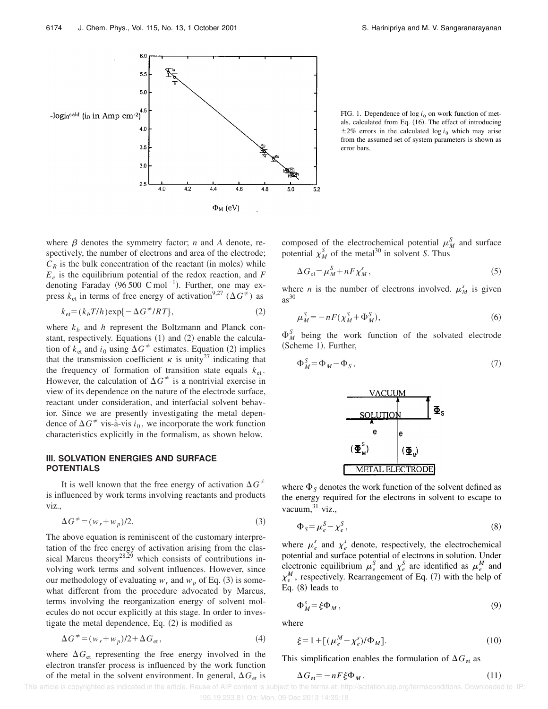

FIG. 1. Dependence of  $log i_0$  on work function of metals, calculated from Eq. (16). The effect of introducing  $\pm 2\%$  errors in the calculated log *i*<sub>0</sub> which may arise from the assumed set of system parameters is shown as error bars.

where  $\beta$  denotes the symmetry factor; *n* and *A* denote, respectively, the number of electrons and area of the electrode;  $C_R$  is the bulk concentration of the reactant (in moles) while *Ee* is the equilibrium potential of the redox reaction, and *F* denoting Faraday (96 500 C mol<sup>-1</sup>). Further, one may express  $k_{\text{et}}$  in terms of free energy of activation<sup>9,27</sup> ( $\Delta G^{\neq}$ ) as

$$
k_{\text{et}} = (k_b T/h) \exp\{-\Delta G^2 /RT\},\tag{2}
$$

where  $k_b$  and *h* represent the Boltzmann and Planck constant, respectively. Equations  $(1)$  and  $(2)$  enable the calculation of  $k_{\text{et}}$  and  $i_0$  using  $\Delta G^{\neq}$  estimates. Equation (2) implies that the transmission coefficient  $\kappa$  is unity<sup>27</sup> indicating that the frequency of formation of transition state equals  $k_{et}$ . However, the calculation of  $\Delta G^{\neq}$  is a nontrivial exercise in view of its dependence on the nature of the electrode surface, reactant under consideration, and interfacial solvent behavior. Since we are presently investigating the metal dependence of  $\Delta G^{\neq}$  vis-à-vis  $i_0$ , we incorporate the work function characteristics explicitly in the formalism, as shown below.

### **III. SOLVATION ENERGIES AND SURFACE POTENTIALS**

It is well known that the free energy of activation  $\Delta G^{\neq}$ is influenced by work terms involving reactants and products viz.,

$$
\Delta G^{\neq} = (w_r + w_p)/2. \tag{3}
$$

The above equation is reminiscent of the customary interpretation of the free energy of activation arising from the classical Marcus theory<sup>28,29</sup> which consists of contributions involving work terms and solvent influences. However, since our methodology of evaluating  $w_r$  and  $w_p$  of Eq. (3) is somewhat different from the procedure advocated by Marcus, terms involving the reorganization energy of solvent molecules do not occur explicitly at this stage. In order to investigate the metal dependence, Eq.  $(2)$  is modified as

$$
\Delta G^{\neq} = (w_r + w_p)/2 + \Delta G_{\text{et}},\tag{4}
$$

where  $\Delta G_{\text{et}}$  representing the free energy involved in the electron transfer process is influenced by the work function of the metal in the solvent environment. In general,  $\Delta G_{\text{et}}$  is composed of the electrochemical potential  $\mu_M^S$  and surface potential  $\chi_M^S$  of the metal<sup>30</sup> in solvent *S*. Thus

$$
\Delta G_{\text{et}} = \mu_M^S + nF\chi_M^s \,,\tag{5}
$$

where *n* is the number of electrons involved.  $\mu_M^s$  is given  $as^{30}$ 

$$
\mu_M^S = -nF(\chi_M^S + \Phi_M^S),\tag{6}
$$

 $\Phi_M^S$  being the work function of the solvated electrode (Scheme 1). Further,

$$
\Phi_M^S = \Phi_M - \Phi_S, \qquad (7)
$$



where  $\Phi_S$  denotes the work function of the solvent defined as the energy required for the electrons in solvent to escape to vacuum, $31$  viz.,

$$
\Phi_{S} = \mu_{e}^{S} - \chi_{e}^{S},\tag{8}
$$

where  $\mu_e^s$  and  $\chi_e^s$  denote, respectively, the electrochemical potential and surface potential of electrons in solution. Under electronic equilibrium  $\mu_e^S$  and  $\chi_e^S$  are identified as  $\mu_e^M$  and  $\chi_e^M$ , respectively. Rearrangement of Eq. (7) with the help of Eq.  $(8)$  leads to

$$
\Phi_M^s = \xi \Phi_M \,,\tag{9}
$$

where

$$
\xi = 1 + [(\mu_e^M - \chi_e^s)/\Phi_M].
$$
 (10)

This simplification enables the formulation of  $\Delta G_{\text{et}}$  as

$$
\Delta G_{\text{et}} = -nF\xi\Phi_M. \tag{11}
$$

This article is copyrighted as indicated in the article. Reuse of AIP content is subject to the terms at: http://scitation.aip.org/termsconditions. Downloaded to IP: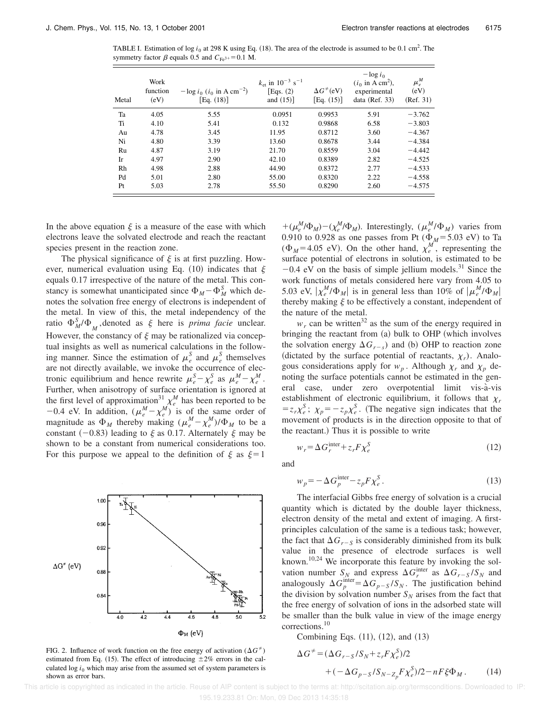TABLE I. Estimation of  $\log i_0$  at 298 K using Eq. (18). The area of the electrode is assumed to be 0.1 cm<sup>2</sup>. The symmetry factor  $\beta$  equals 0.5 and  $C_{Fe^{3+}}=0.1$  M.

| Metal | Work<br>function<br>(eV) | $-\log i_0$ ( <i>i</i> <sub>0</sub> in A cm <sup>-2</sup> )<br>[Eq. $(18)$ ] | $k_{\text{et}}$ in $10^{-3}$ s <sup>-1</sup><br>[Eqs. $(2)$ ]<br>and $(15)$ ] | $\Delta G^{\neq}$ (eV)<br>[Eq. $(15)$ ] | $-\log i_0$<br>$(i_0$ in A cm <sup>2</sup> ),<br>experimental<br>data ( $Ref. 33$ ) | $\mu_e^M$<br>(eV)<br>(Ref. 31) |
|-------|--------------------------|------------------------------------------------------------------------------|-------------------------------------------------------------------------------|-----------------------------------------|-------------------------------------------------------------------------------------|--------------------------------|
| Ta    | 4.05                     | 5.55                                                                         | 0.0951                                                                        | 0.9953                                  | 5.91                                                                                | $-3.762$                       |
| Ti    | 4.10                     | 5.41                                                                         | 0.132                                                                         | 0.9868                                  | 6.58                                                                                | $-3.803$                       |
| Au    | 4.78                     | 3.45                                                                         | 11.95                                                                         | 0.8712                                  | 3.60                                                                                | $-4.367$                       |
| Ni    | 4.80                     | 3.39                                                                         | 13.60                                                                         | 0.8678                                  | 3.44                                                                                | $-4.384$                       |
| Ru    | 4.87                     | 3.19                                                                         | 21.70                                                                         | 0.8559                                  | 3.04                                                                                | $-4.442$                       |
| Ir    | 4.97                     | 2.90                                                                         | 42.10                                                                         | 0.8389                                  | 2.82                                                                                | $-4.525$                       |
| Rh    | 4.98                     | 2.88                                                                         | 44.90                                                                         | 0.8372                                  | 2.77                                                                                | $-4.533$                       |
| Pd    | 5.01                     | 2.80                                                                         | 55.00                                                                         | 0.8320                                  | 2.22                                                                                | $-4.558$                       |
| Pt    | 5.03                     | 2.78                                                                         | 55.50                                                                         | 0.8290                                  | 2.60                                                                                | $-4.575$                       |

In the above equation  $\xi$  is a measure of the ease with which electrons leave the solvated electrode and reach the reactant species present in the reaction zone.

The physical significance of  $\xi$  is at first puzzling. However, numerical evaluation using Eq. (10) indicates that  $\xi$ equals 0.17 irrespective of the nature of the metal. This constancy is somewhat unanticipated since  $\Phi_M - \Phi_M^S$  which denotes the solvation free energy of electrons is independent of the metal. In view of this, the metal independency of the ratio  $\Phi_M^S/\Phi_M^{\bullet}$ , denoted as  $\xi$  here is *prima facie* unclear. However, the constancy of  $\xi$  may be rationalized via conceptual insights as well as numerical calculations in the following manner. Since the estimation of  $\mu_e^S$  and  $\mu_e^S$  themselves are not directly available, we invoke the occurrence of electronic equilibrium and hence rewrite  $\mu_e^S - \chi_e^S$  as  $\mu_e^M - \chi_e^M$ . Further, when anisotropy of surface orientation is ignored at the first level of approximation<sup>31</sup>,  $\chi_e^M$  has been reported to be  $-0.4$  eV. In addition,  $(\mu_e^M - \chi_e^M)$  is of the same order of magnitude as  $\Phi_M$  thereby making  $(\mu_e^M - \chi_e^M)/\Phi_M$  to be a constant  $(-0.83)$  leading to  $\xi$  as 0.17. Alternately  $\xi$  may be shown to be a constant from numerical considerations too. For this purpose we appeal to the definition of  $\xi$  as  $\xi=1$ 



FIG. 2. Influence of work function on the free energy of activation  $(\Delta G^{\neq})$ estimated from Eq. (15). The effect of introducing  $\pm 2\%$  errors in the calculated  $\log i_0$  which may arise from the assumed set of system parameters is shown as error bars.

 $+(\mu_e^M/\Phi_M) - (\chi_e^M/\Phi_M)$ . Interestingly,  $(\mu_e^M/\Phi_M)$  varies from 0.910 to 0.928 as one passes from Pt ( $\Phi_M$ = 5.03 eV) to Ta ( $\Phi_M$ =4.05 eV). On the other hand,  $\chi_e^M$ , representing the surface potential of electrons in solution, is estimated to be  $-0.4$  eV on the basis of simple jellium models.<sup>31</sup> Since the work functions of metals considered here vary from 4.05 to 5.03 eV,  $|\chi_e^M/\Phi_M|$  is in general less than 10% of  $|\mu_e^M/\Phi_M|$ thereby making  $\xi$  to be effectively a constant, independent of the nature of the metal.

 $w_r$  can be written<sup>32</sup> as the sum of the energy required in bringing the reactant from  $(a)$  bulk to OHP (which involves the solvation energy  $\Delta G$ <sub>*r*-*s*</sub>) and (b) OHP to reaction zone (dictated by the surface potential of reactants,  $\chi_r$ ). Analogous considerations apply for  $w_p$ . Although  $\chi_r$  and  $\chi_p$  denoting the surface potentials cannot be estimated in the general case, under zero overpotential limit vis-à-vis establishment of electronic equilibrium, it follows that  $\chi_r$  $= z_r \chi_e^S$ ;  $\chi_p = -z_p \chi_e^S$ . (The negative sign indicates that the movement of products is in the direction opposite to that of the reactant.) Thus it is possible to write

$$
w_r = \Delta G_r^{\text{inter}} + z_r F \chi_e^S
$$

and

$$
w_p = -\Delta G_p^{\text{inter}} - z_p F \chi_e^S. \tag{13}
$$

 $(12)$ 

The interfacial Gibbs free energy of solvation is a crucial quantity which is dictated by the double layer thickness, electron density of the metal and extent of imaging. A firstprinciples calculation of the same is a tedious task; however, the fact that  $\Delta G$ <sub>*r*-*S*</sub> is considerably diminished from its bulk value in the presence of electrode surfaces is well known.<sup>10,24</sup> We incorporate this feature by invoking the solvation number  $S_N$  and express  $\Delta G_r^{\text{inter}}$  as  $\Delta G_{r-S}/S_N$  and analogously  $\Delta G_p^{\text{inter}} = \Delta G_{p-S}/S_N$ . The justification behind the division by solvation number  $S_N$  arises from the fact that the free energy of solvation of ions in the adsorbed state will be smaller than the bulk value in view of the image energy corrections.<sup>10</sup>

Combining Eqs.  $(11)$ ,  $(12)$ , and  $(13)$ 

$$
\Delta G^{\neq} = (\Delta G_{r-S}/S_N + z_r F \chi_e^S)/2
$$
  
+ 
$$
(-\Delta G_{p-S}/S_{N-Z_p} F \chi_e^S)/2 - nF \xi \Phi_M.
$$
 (14)

 This article is copyrighted as indicated in the article. Reuse of AIP content is subject to the terms at: http://scitation.aip.org/termsconditions. Downloaded to IP: 195.19.233.81 On: Mon, 09 Dec 2013 14:35:18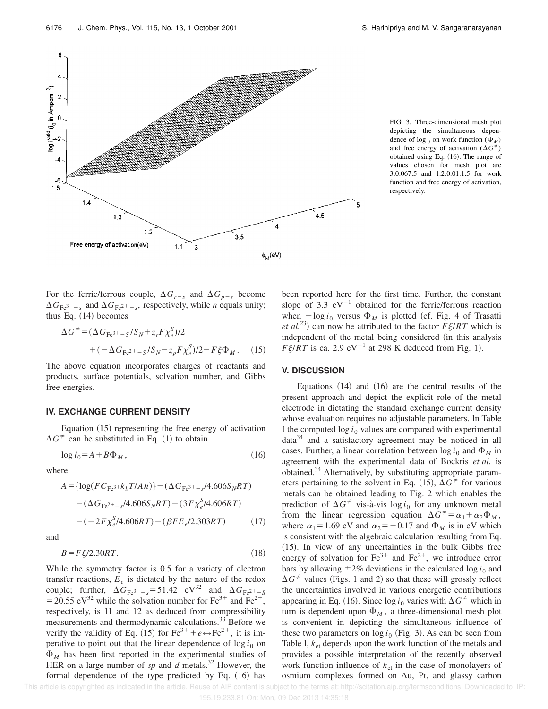

FIG. 3. Three-dimensional mesh plot depicting the simultaneous dependence of  $\log_0$  on work function ( $\Phi_M$ ) and free energy of activation  $(\Delta G^{\neq})$ obtained using Eq. (16). The range of values chosen for mesh plot are 3:0.067:5 and 1.2:0.01:1.5 for work function and free energy of activation, respectively.

For the ferric/ferrous couple,  $\Delta G_{r-s}$  and  $\Delta G_{p-s}$  become  $\Delta G_{\text{Fe}^{3+}-s}$  and  $\Delta G_{\text{Fe}^{2+}-s}$ , respectively, while *n* equals unity; thus Eq.  $(14)$  becomes

$$
\Delta G^{\neq} = (\Delta G_{\text{Fe}^{3+} - S} / S_N + z_r F \chi_e^S) / 2 + (-\Delta G_{\text{Fe}^{2+} - S} / S_N - z_p F \chi_e^S) / 2 - F \xi \Phi_M.
$$
 (15)

The above equation incorporates charges of reactants and products, surface potentials, solvation number, and Gibbs free energies.

#### **IV. EXCHANGE CURRENT DENSITY**

Equation  $(15)$  representing the free energy of activation  $\Delta G^{\neq}$  can be substituted in Eq. (1) to obtain

$$
\log i_0 = A + B\Phi_M, \qquad (16)
$$

where

$$
A = \{ \log(FC_{\text{Fe}^3} + k_b T / A h) \} - (\Delta G_{\text{Fe}^3} + \frac{1}{s} / 4.606 S_N R T) - (\Delta G_{\text{Fe}^2} + \frac{1}{s} / 4.606 S_N R T) - (3 F \chi_e^S / 4.606 R T) - (-2 F \chi_e^S / 4.606 R T) - (\beta F E_e / 2.303 R T) \tag{17}
$$

and

$$
B = F\,\xi/2.30RT.\tag{18}
$$

While the symmetry factor is 0.5 for a variety of electron transfer reactions,  $E_e$  is dictated by the nature of the redox couple; further,  $\Delta G_{\text{Fe}^{3+}-s} = 51.42 \text{ eV}^{32}$  and  $\Delta G_{\text{Fe}^{2+}-s}$ = 20.55 eV<sup>32</sup> while the solvation number for Fe<sup>3+</sup> and Fe<sup>2+</sup>, respectively, is 11 and 12 as deduced from compressibility measurements and thermodynamic calculations.<sup>33</sup> Before we verify the validity of Eq. (15) for Fe<sup>3+</sup> +  $e \leftrightarrow Fe^{2+}$ , it is imperative to point out that the linear dependence of  $\log i_0$  on  $\Phi_M$  has been first reported in the experimental studies of HER on a large number of *sp* and *d* metals.<sup>32</sup> However, the formal dependence of the type predicted by Eq.  $(16)$  has been reported here for the first time. Further, the constant slope of 3.3  $eV^{-1}$  obtained for the ferric/ferrous reaction when  $-\log i_0$  versus  $\Phi_M$  is plotted (cf. Fig. 4 of Trasatti *et al.*<sup>23</sup>) can now be attributed to the factor  $F\zeta/RT$  which is independent of the metal being considered (in this analysis  $F \xi / RT$  is ca. 2.9 eV<sup>-1</sup> at 298 K deduced from Fig. 1).

#### **V. DISCUSSION**

Equations  $(14)$  and  $(16)$  are the central results of the present approach and depict the explicit role of the metal electrode in dictating the standard exchange current density whose evaluation requires no adjustable parameters. In Table I the computed  $\log i_0$  values are compared with experimental  $data<sup>34</sup>$  and a satisfactory agreement may be noticed in all cases. Further, a linear correlation between  $\log i_0$  and  $\Phi_M$  in agreement with the experimental data of Bockris *et al.* is obtained.<sup>34</sup> Alternatively, by substituting appropriate parameters pertaining to the solvent in Eq. (15),  $\Delta G^{\neq}$  for various metals can be obtained leading to Fig. 2 which enables the prediction of  $\Delta G^{\neq}$  vis-à-vis log *i*<sub>0</sub> for any unknown metal from the linear regression equation  $\Delta G^{\neq} = \alpha_1 + \alpha_2 \Phi_M$ , where  $\alpha_1$ =1.69 eV and  $\alpha_2$ = -0.17 and  $\Phi_M$  is in eV which is consistent with the algebraic calculation resulting from Eq.  $(15)$ . In view of any uncertainties in the bulk Gibbs free energy of solvation for  $Fe^{3+}$  and  $Fe^{2+}$ , we introduce error bars by allowing  $\pm 2\%$  deviations in the calculated log  $i_0$  and  $\Delta G^{\neq}$  values (Figs. 1 and 2) so that these will grossly reflect the uncertainties involved in various energetic contributions appearing in Eq. (16). Since  $\log i_0$  varies with  $\Delta G^{\neq}$  which in turn is dependent upon  $\Phi_M$ , a three-dimensional mesh plot is convenient in depicting the simultaneous influence of these two parameters on  $log i_0$  (Fig. 3). As can be seen from Table I,  $k_{et}$  depends upon the work function of the metals and provides a possible interpretation of the recently observed work function influence of *k*et in the case of monolayers of osmium complexes formed on Au, Pt, and glassy carbon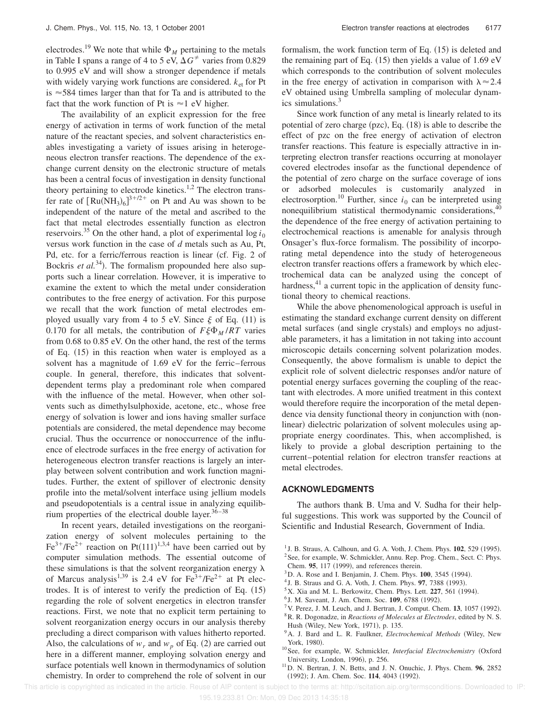electrodes.<sup>19</sup> We note that while  $\Phi_M$  pertaining to the metals in Table I spans a range of 4 to 5 eV,  $\Delta G^{\neq}$  varies from 0.829 to 0.995 eV and will show a stronger dependence if metals with widely varying work functions are considered.  $k_{\text{et}}$  for Pt is  $\approx$  584 times larger than that for Ta and is attributed to the fact that the work function of Pt is  $\approx$  1 eV higher.

The availability of an explicit expression for the free energy of activation in terms of work function of the metal nature of the reactant species, and solvent characteristics enables investigating a variety of issues arising in heterogeneous electron transfer reactions. The dependence of the exchange current density on the electronic structure of metals has been a central focus of investigation in density functional theory pertaining to electrode kinetics.<sup>1,2</sup> The electron transfer rate of  $[Ru(NH_3)_6]^{3+/2+}$  on Pt and Au was shown to be independent of the nature of the metal and ascribed to the fact that metal electrodes essentially function as electron reservoirs.<sup>35</sup> On the other hand, a plot of experimental  $\log i_0$ versus work function in the case of *d* metals such as Au, Pt, Pd, etc. for a ferric/ferrous reaction is linear (cf. Fig. 2 of Bockris *et al.*<sup>34</sup>). The formalism propounded here also supports such a linear correlation. However, it is imperative to examine the extent to which the metal under consideration contributes to the free energy of activation. For this purpose we recall that the work function of metal electrodes employed usually vary from 4 to 5 eV. Since  $\xi$  of Eq. (11) is 0.170 for all metals, the contribution of  $F \xi \Phi_M / RT$  varies from 0.68 to 0.85 eV. On the other hand, the rest of the terms of Eq.  $(15)$  in this reaction when water is employed as a solvent has a magnitude of 1.69 eV for the ferric–ferrous couple. In general, therefore, this indicates that solventdependent terms play a predominant role when compared with the influence of the metal. However, when other solvents such as dimethylsulphoxide, acetone, etc., whose free energy of solvation is lower and ions having smaller surface potentials are considered, the metal dependence may become crucial. Thus the occurrence or nonoccurrence of the influence of electrode surfaces in the free energy of activation for heterogeneous electron transfer reactions is largely an interplay between solvent contribution and work function magnitudes. Further, the extent of spillover of electronic density profile into the metal/solvent interface using jellium models and pseudopotentials is a central issue in analyzing equilibrium properties of the electrical double layer. $36-38$ 

In recent years, detailed investigations on the reorganization energy of solvent molecules pertaining to the  $Fe^{3+}/Fe^{2+}$  reaction on Pt(111)<sup>1,3,4</sup> have been carried out by computer simulation methods. The essential outcome of these simulations is that the solvent reorganization energy  $\lambda$ of Marcus analysis<sup>1,39</sup> is 2.4 eV for  $Fe^{3+}/Fe^{2+}$  at Pt electrodes. It is of interest to verify the prediction of Eq.  $(15)$ regarding the role of solvent energetics in electron transfer reactions. First, we note that no explicit term pertaining to solvent reorganization energy occurs in our analysis thereby precluding a direct comparison with values hitherto reported. Also, the calculations of  $w_r$  and  $w_p$  of Eq. (2) are carried out here in a different manner, employing solvation energy and surface potentials well known in thermodynamics of solution chemistry. In order to comprehend the role of solvent in our

formalism, the work function term of Eq.  $(15)$  is deleted and the remaining part of Eq.  $(15)$  then yields a value of 1.69 eV which corresponds to the contribution of solvent molecules in the free energy of activation in comparison with  $\lambda \approx 2.4$ eV obtained using Umbrella sampling of molecular dynamics simulations.<sup>3</sup>

Since work function of any metal is linearly related to its potential of zero charge  $(pzc)$ , Eq.  $(18)$  is able to describe the effect of pzc on the free energy of activation of electron transfer reactions. This feature is especially attractive in interpreting electron transfer reactions occurring at monolayer covered electrodes insofar as the functional dependence of the potential of zero charge on the surface coverage of ions or adsorbed molecules is customarily analyzed in electrosorption.<sup>10</sup> Further, since  $i_0$  can be interpreted using nonequilibrium statistical thermodynamic considerations,<sup>40</sup> the dependence of the free energy of activation pertaining to electrochemical reactions is amenable for analysis through Onsager's flux-force formalism. The possibility of incorporating metal dependence into the study of heterogeneous electron transfer reactions offers a framework by which electrochemical data can be analyzed using the concept of hardness, $41$  a current topic in the application of density functional theory to chemical reactions.

While the above phenomenological approach is useful in estimating the standard exchange current density on different metal surfaces (and single crystals) and employs no adjustable parameters, it has a limitation in not taking into account microscopic details concerning solvent polarization modes. Consequently, the above formalism is unable to depict the explicit role of solvent dielectric responses and/or nature of potential energy surfaces governing the coupling of the reactant with electrodes. A more unified treatment in this context would therefore require the incorporation of the metal dependence via density functional theory in conjunction with (nonlinear) dielectric polarization of solvent molecules using appropriate energy coordinates. This, when accomplished, is likely to provide a global description pertaining to the current–potential relation for electron transfer reactions at metal electrodes.

#### **ACKNOWLEDGMENTS**

The authors thank B. Uma and V. Sudha for their helpful suggestions. This work was supported by the Council of Scientific and Industial Research, Government of India.

 $5$ X. Xia and M. L. Berkowitz, Chem. Phys. Lett.  $227, 561$  (1994).

- $7$  V. Perez, J. M. Leuch, and J. Bertran, J. Comput. Chem. **13**, 1057 (1992). <sup>8</sup>R. R. Dogonadze, in *Reactions of Molecules at Electrodes*, edited by N. S.
- Hush (Wiley, New York, 1971), p. 135.
- <sup>9</sup> A. J. Bard and L. R. Faulkner, *Electrochemical Methods* (Wiley, New York, 1980).
- <sup>10</sup> See, for example, W. Schmickler, *Interfacial Electrochemistry* (Oxford University, London, 1996), p. 256.
- <sup>11</sup>D. N. Bertran, J. N. Betts, and J. N. Onuchic, J. Phys. Chem. **96**, 2852 (1992); J. Am. Chem. Soc. 114, 4043 (1992).

 $1$  J. B. Straus, A. Calhoun, and G. A. Voth, J. Chem. Phys.  $102$ ,  $529$  (1995). <sup>2</sup> See, for example, W. Schmickler, Annu. Rep. Prog. Chem., Sect. C: Phys.

Chem. 95, 117 (1999), and references therein.

<sup>&</sup>lt;sup>3</sup>D. A. Rose and I. Benjamin, J. Chem. Phys. **100**, 3545 (1994).

<sup>&</sup>lt;sup>4</sup> J. B. Straus and G. A. Voth, J. Chem. Phys. 97, 7388 (1993).

<sup>&</sup>lt;sup>6</sup> J. M. Saveant, J. Am. Chem. Soc. **109**, 6788 (1992).